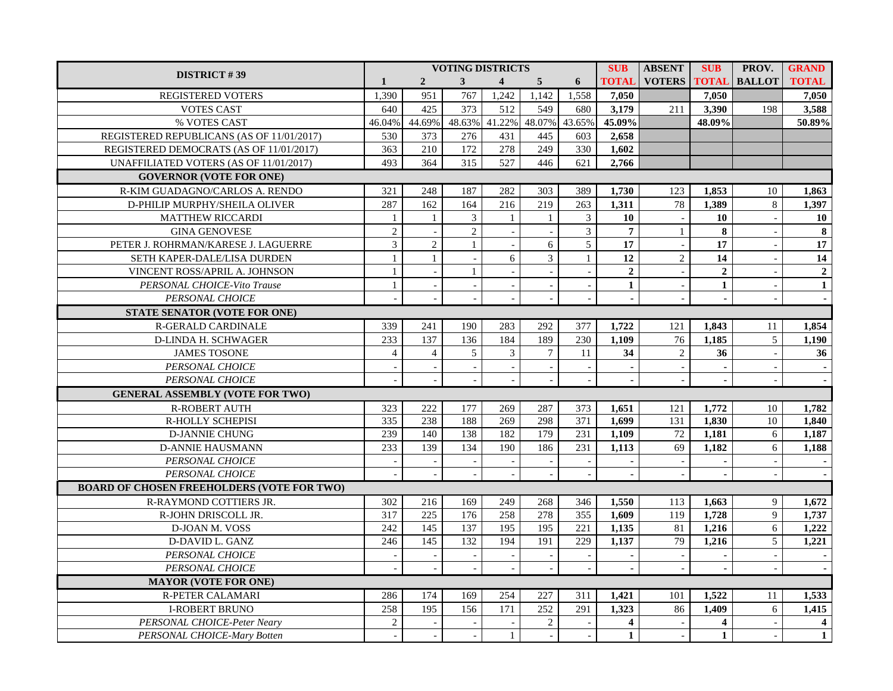| <b>DISTRICT #39</b>                               | <b>VOTING DISTRICTS</b>  |                          |                          |                          |                |                          |                | <b>ABSENT</b>            | <b>SUB</b>   | PROV.         | <b>GRAND</b>     |
|---------------------------------------------------|--------------------------|--------------------------|--------------------------|--------------------------|----------------|--------------------------|----------------|--------------------------|--------------|---------------|------------------|
|                                                   | $\mathbf{1}$             | $\overline{2}$           | 3 <sup>1</sup>           | $\overline{\mathbf{4}}$  | 5 <sup>5</sup> | 6                        | <b>TOTAL</b>   | <b>VOTERS</b>            | <b>TOTAL</b> | <b>BALLOT</b> | <b>TOTAL</b>     |
| <b>REGISTERED VOTERS</b>                          | 1,390                    | 951                      | 767                      | 1,242                    | 1,142          | 1,558                    | 7,050          |                          | 7,050        |               | 7,050            |
| <b>VOTES CAST</b>                                 | 640                      | 425                      | 373                      | 512                      | 549            | 680                      | 3,179          | 211                      | 3,390        | 198           | 3,588            |
| % VOTES CAST                                      | 46.04%                   | 44.69%                   |                          | 48.63% 41.22%            | 48.07%         | 43.65%                   | 45.09%         |                          | 48.09%       |               | 50.89%           |
| REGISTERED REPUBLICANS (AS OF 11/01/2017)         | 530                      | 373                      | 276                      | 431                      | 445            | 603                      | 2,658          |                          |              |               |                  |
| REGISTERED DEMOCRATS (AS OF 11/01/2017)           | 363                      | 210                      | 172                      | 278                      | 249            | 330                      | 1,602          |                          |              |               |                  |
| UNAFFILIATED VOTERS (AS OF 11/01/2017)            | 493                      | 364                      | 315                      | 527                      | 446            | 621                      | 2,766          |                          |              |               |                  |
| <b>GOVERNOR (VOTE FOR ONE)</b>                    |                          |                          |                          |                          |                |                          |                |                          |              |               |                  |
| R-KIM GUADAGNO/CARLOS A. RENDO                    | 321                      | 248                      | 187                      | 282                      | 303            | 389                      | 1,730          | 123                      | 1,853        | 10            | 1,863            |
| D-PHILIP MURPHY/SHEILA OLIVER                     | 287                      | 162                      | 164                      | 216                      | 219            | 263                      | 1,311          | 78                       | 1,389        | $\,8\,$       | 1,397            |
| <b>MATTHEW RICCARDI</b>                           | 1                        | $\mathbf{1}$             | $\mathfrak{Z}$           | $\mathbf{1}$             | $\mathbf{1}$   | $\mathfrak{Z}$           | 10             | $\sim$                   | 10           |               | 10               |
| <b>GINA GENOVESE</b>                              | $\overline{2}$           |                          | $\overline{2}$           |                          |                | $\overline{3}$           | $\overline{7}$ | $\mathbf{1}$             | 8            |               | $\bf{8}$         |
| PETER J. ROHRMAN/KARESE J. LAGUERRE               | $\overline{3}$           | $\overline{2}$           | $\mathbf{1}$             |                          | 6              | 5                        | 17             | $\mathbf{r}$             | 17           |               | 17               |
| SETH KAPER-DALE/LISA DURDEN                       | $\mathbf{1}$             | 1                        | $\overline{a}$           | 6                        | 3              | $\mathbf{1}$             | 12             | $\overline{2}$           | 14           |               | 14               |
| VINCENT ROSS/APRIL A. JOHNSON                     | $\mathbf{1}$             | $\mathbb{L}$             | $\mathbf{1}$             |                          |                |                          | $\overline{2}$ | $\sim$                   | $\mathbf{2}$ |               | $\boldsymbol{2}$ |
| PERSONAL CHOICE-Vito Trause                       | $\,1\,$                  | $\blacksquare$           |                          |                          |                |                          | $\mathbf{1}$   | $\equiv$                 | $\mathbf{1}$ |               | $\mathbf{1}$     |
| PERSONAL CHOICE                                   | $\mathbf{r}$             | $\sim$                   | $\sim$                   | $\sim$                   |                | $\overline{a}$           | $\mathbf{r}$   | $\mathbb{Z}^2$           | $\mathbf{r}$ |               | $\sim$           |
| STATE SENATOR (VOTE FOR ONE)                      |                          |                          |                          |                          |                |                          |                |                          |              |               |                  |
| R-GERALD CARDINALE                                | 339                      | 241                      | 190                      | 283                      | 292            | 377                      | 1,722          | 121                      | 1,843        | 11            | 1,854            |
| D-LINDA H. SCHWAGER                               | 233                      | 137                      | 136                      | 184                      | 189            | 230                      | 1,109          | 76                       | 1,185        | 5             | 1,190            |
| <b>JAMES TOSONE</b>                               | $\overline{4}$           | $\overline{4}$           | 5                        | $\overline{3}$           | $\tau$         | 11                       | 34             | $\overline{2}$           | 36           |               | 36               |
| PERSONAL CHOICE                                   | $\overline{\phantom{a}}$ | $\overline{\phantom{a}}$ | $\overline{\phantom{a}}$ |                          |                |                          | $\blacksquare$ | $\overline{\phantom{a}}$ |              |               |                  |
| PERSONAL CHOICE                                   |                          | $\mathbb{L}$             |                          |                          |                |                          |                |                          |              |               |                  |
| <b>GENERAL ASSEMBLY (VOTE FOR TWO)</b>            |                          |                          |                          |                          |                |                          |                |                          |              |               |                  |
| <b>R-ROBERT AUTH</b>                              | 323                      | 222                      | 177                      | 269                      | 287            | 373                      | 1,651          | 121                      | 1,772        | 10            | 1,782            |
| R-HOLLY SCHEPISI                                  | 335                      | 238                      | 188                      | 269                      | 298            | 371                      | 1,699          | 131                      | 1,830        | 10            | 1,840            |
| <b>D-JANNIE CHUNG</b>                             | 239                      | 140                      | 138                      | 182                      | 179            | 231                      | 1,109          | 72                       | 1,181        | $6\,$         | 1,187            |
| <b>D-ANNIE HAUSMANN</b>                           | 233                      | 139                      | 134                      | 190                      | 186            | 231                      | 1,113          | 69                       | 1,182        | 6             | 1,188            |
| PERSONAL CHOICE                                   | $\overline{\phantom{a}}$ | $\overline{\phantom{a}}$ | $\overline{\phantom{a}}$ | $\overline{\phantom{a}}$ | $\sim$         | $\overline{\phantom{a}}$ |                | $\overline{\phantom{a}}$ |              |               |                  |
| PERSONAL CHOICE                                   | $\overline{a}$           | $\blacksquare$           | $\sim$                   |                          | $\overline{a}$ | $\overline{a}$           | $\sim$         | $\sim$                   | $\sim$       |               |                  |
| <b>BOARD OF CHOSEN FREEHOLDERS (VOTE FOR TWO)</b> |                          |                          |                          |                          |                |                          |                |                          |              |               |                  |
| R-RAYMOND COTTIERS JR.                            | 302                      | 216                      | 169                      | 249                      | 268            | 346                      | 1,550          | 113                      | 1,663        | 9             | 1,672            |
| R-JOHN DRISCOLL JR.                               | 317                      | 225                      | 176                      | 258                      | 278            | 355                      | 1,609          | 119                      | 1,728        | 9             | 1,737            |
| D-JOAN M. VOSS                                    | $\overline{242}$         | $\overline{145}$         | 137                      | 195                      | 195            | 221                      | 1,135          | 81                       | 1,216        | $6\,$         | 1,222            |
| D-DAVID L. GANZ                                   | 246                      | 145                      | 132                      | 194                      | 191            | 229                      | 1,137          | $\overline{79}$          | 1,216        | 5             | 1,221            |
| PERSONAL CHOICE                                   | $\overline{\phantom{a}}$ | $\sim$                   | $\sim$                   |                          | $\sim$         |                          |                | $\blacksquare$           |              |               |                  |
| PERSONAL CHOICE                                   | $\overline{a}$           | $\blacksquare$           | $\blacksquare$           |                          |                | $\overline{a}$           |                | $\equiv$                 |              |               |                  |
| <b>MAYOR (VOTE FOR ONE)</b>                       |                          |                          |                          |                          |                |                          |                |                          |              |               |                  |
| <b>R-PETER CALAMARI</b>                           | 286                      | 174                      | 169                      | 254                      | 227            | 311                      | 1,421          | 101                      | 1,522        | 11            | 1,533            |
| <b>I-ROBERT BRUNO</b>                             | 258                      | 195                      | 156                      | 171                      | 252            | 291                      | 1,323          | 86                       | 1,409        | 6             | 1,415            |
| PERSONAL CHOICE-Peter Neary                       | 2                        | $\sim$                   | $\sim$                   | $\sim$                   | $\overline{2}$ | $\sim$                   | $\overline{4}$ | $\sim$                   | 4            |               | $\overline{4}$   |
| PERSONAL CHOICE-Mary Botten                       | $\blacksquare$           | $\overline{\phantom{a}}$ | $\overline{\phantom{a}}$ | $\mathbf{1}$             | $\overline{a}$ |                          | $\mathbf{1}$   | $\overline{\phantom{a}}$ | $\mathbf{1}$ |               | $\mathbf{1}$     |